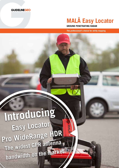

# **MALÅ Easy Locator**

**GROUND PENETRATING RADAR**

**The professional's choice for utility mapping**

Introducing Easy Locator Pro WideRange HDR The widest GPR antenna bandwidth on the market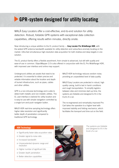### **CPR-system designed for utility locating**

MALÅ Easy Locators offer a cost-effective, end-to-end solution for utility detection. Robust, foldable GPR-systems with exceptional data collection capabilities, offering results within minutes, directly onsite.

Now introducing a unique addition to the EL product family — **Easy Locator Pro WideRange HDR**, with the widest GPR antenna bandwidth available for utility detection and subsurface anomaly locating on the market. Ultra-fast simultaneous high-resolution data acquisition for both shallow and deep targets in one solution.

The EL product family offers a flexible assortment, from simple to advanced, but still with quality and ease-of-use in common. ObjectMapper 2.0 is also offered in conjunction with the EL Pro WideRange HDR, with improved user interface and online map support.

Underground utilities are assets that need to be protected. It is essential to obtain precise and reliable information about the location and depth of buried infrastructure, such as pipes, cables and other utilities.

GPR is a non-intrusive technology and is able to detect both metallic and non-metallic utilities. The EL user-interface is tailored for utility location and is easy-to-use with simple navigation controlled by a single turn-and-push navigator button.

MALÅ HDR real-time sampling technology offers higher data resolution and significantly better depth of penetration compared to traditional GPR technology.

MALÅ HDR technology reduces random noise; providing an unparalleled level of data quality.

MALÅ Easy Locators are protected in robust, high quality casing, built to last in harsh conditions and rough transportation. To simplify logistics between sites and minimize start-up time, the systems are foldable and designed to fit in the trunk of a car.

The re-engineered and remarkably improved Pro Cart takes the operation to a higher level with improved stability and folding mechanics, which facilitates the transport and time out on the field.

### HDR Technology

- $\triangleright$  Significantly faster data acquisition rates
- Greater signal-to-noise ratio
- $\triangleright$  Increased bandwidth
- $\triangleright$  Unprecedented dynamic range and resolution
- $\triangleright$  Higher number of significant bits
- $\triangleright$  Greater depth penetration
- $\triangleright$  Better detection capabilities



*The systems are foldable and designed to fit in the trunk of a car.*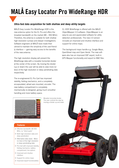# MALÅ Easy Locator Pro WideRange HDR

### **Ultra-fast data acquisition for both shallow and deep utility targets**

MALÅ Easy Locator Pro WideRange HDR is the new antenna option for the EL Pro and offers the broadest bandwidth on the market (80 – 950 MHz). Therefore, the antenna is suitable for both shallow high-resolution surveys and deeper investigations. Software engineers at MALÅ have made their utmost to maintain the simplicity of the user-friendly interface — gaining easy access to the benefits of the new antenna.

The high resolution display will present the WideRange data with a movable horizontal divider at the center of the screen. By moving the divider (up or down) the user will be able to view more (or less) of the high resolution or deep penetrating data respectively.

The re-engineered EL Pro Cart has improved stability, folding mechanics, and a completely encapsulated, wheel axis mounted, encoder. The new battery compartment is completely mechanically re-designed, giving much smoother handling and more battery space.



Movable horizontal divider. The user controls the view by moving a divider up and down

EL HDR WideRange is offered with the MALÅ ObjectMapper 2.0 software. ObjectMapper is an easy-to-use and appreciated software for utility detection professionals. The new 2.0 version includes an improved and intuitive interface and support for online maps.

The background maps handle e.g. Google Maps, OpenStreet map and Open Aerial. The new software also has an improved DXF export, built-in GPS Mapper functionality and export to KMZ files.



### Features

- $\triangleright$  Effective bandwidth: 80-950 MHz, no "blind spots"
- $\triangleright$  Both high resolution data and deep penetration
- Alternative data views More (or less) of the high resolution or deep penetrating data
- $\triangleright$  Pro Cart with improved stability, folding mechanics, battery compartment, tire-options
- $\triangleright$  Improved and intuitive interface
- $\triangleright$  Support for online maps
- $\triangleright$  Improved export functionalities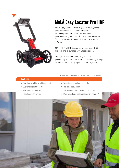

### MALÅ Easy Locator Pro HDR

MALÅ Easy Locator Pro HDR (EL Pro HDR), is the third generation EL, with added features for utility professionals with requirements of post-processing data. MALÅ EL Pro HDR allows for 32 bit data export to processing and visualization software.

MALÅ EL Pro HDR is capable of performing Grid Projects and is bundled with ObjectMapper.

The system has built-in DGPS (SBAS) for positioning, and supports improved positioning through various stand-alone high precision GPS systems.

### *\* THE FEATURE ONLY APPLIES TO 'MALÅ EASY LOCATOR PRO'*

| r Galurgs                              |  |  |
|----------------------------------------|--|--|
| > Easy-to-use foldable all-in-one unit |  |  |

Features

- $\triangleright$  Outstanding data quality  $\triangleright$  Startup within minutes  $\triangleright$  Results directly on-site
- $\triangleright$  Exceptional detection capabilities
- $\triangleright$  Fast data acquisition
- $\triangleright$  Built-in DGPS for improved positioning  $*$
- $\triangleright$  Data export and post-processing software  $\cdot$



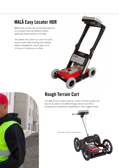## MALÅ Easy Locator HDR

MALÅ Easy Locator, the second generation EL, is a compact and cost-effective system delivering results directly in the field.

The system has a back-up cursor for quick and accurate utility marking and multiple battery management, which gives up to 14 hours of continuous run-time.





### Rough Terrain Cart

The MALÅ Easy Locator antenna, control unit and monitor can also be mounted in the MALÅ Rough Terrain Cart (RTC), increasing the operational capabilities in more rugged terrain.